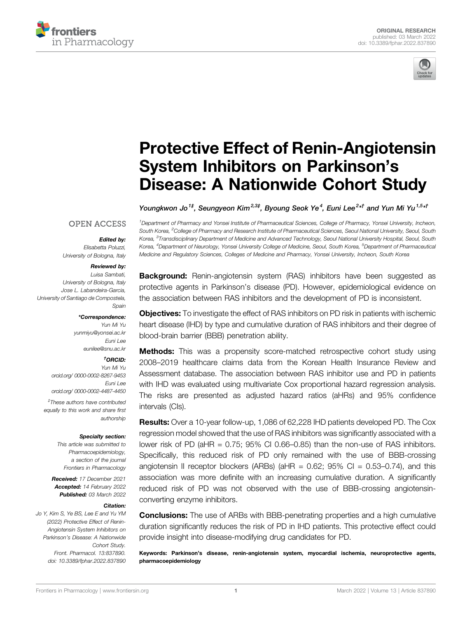



# [Protective Effect of Renin-Angiotensin](https://www.frontiersin.org/articles/10.3389/fphar.2022.837890/full) [System Inhibitors on Parkinson](https://www.frontiersin.org/articles/10.3389/fphar.2022.837890/full)'s [Disease: A Nationwide Cohort Study](https://www.frontiersin.org/articles/10.3389/fphar.2022.837890/full)

Youngkwon Jo $^{1\sharp}$ , Seungyeon Kim $^{2,3\sharp}$ , Byoung Seok Ye $^4$ , Euni Lee $^{2\star\dag}$  and Yun Mi Yu $^{1,5\star\dag}$ 

#### **OPEN ACCESS**

#### Edited by:

Elisabetta Poluzzi, University of Bologna, Italy

#### Reviewed by:

Luisa Sambati, University of Bologna, Italy Jose L. Labandeira-Garcia, University of Santiago de Compostela, Spain

#### \*Correspondence:

Yun Mi Yu [yunmiyu@yonsei.ac.kr](mailto:yunmiyu@yonsei.ac.kr) Euni Lee [eunilee@snu.ac.kr](mailto:eunilee@snu.ac.kr)

#### † ORCID:

Yun Mi Yu [orcid.org/ 0000-0002-8267-9453](http://orcid.org/%200000-0002-8267-9453) Euni Lee [orcid.org/ 0000-0002-4487-4450](http://orcid.org/%200000-0002-4487-4450)

‡ These authors have contributed equally to this work and share first authorship

#### Specialty section:

This article was submitted to Pharmacoepidemiology, a section of the journal Frontiers in Pharmacology

Received: 17 December 2021 Accepted: 14 February 2022 Published: 03 March 2022

#### Citation:

Jo Y, Kim S, Ye BS, Lee E and Yu YM (2022) Protective Effect of Renin-Angiotensin System Inhibitors on Parkinson's Disease: A Nationwide Cohort Study. Front. Pharmacol. 13:837890. doi: [10.3389/fphar.2022.837890](https://doi.org/10.3389/fphar.2022.837890)

1 Department of Pharmacy and Yonsei Institute of Pharmaceutical Sciences, College of Pharmacy, Yonsei University, Incheon, South Korea, <sup>2</sup>College of Pharmacy and Research Institute of Pharmaceutical Sciences, Seoul National University, Seoul, South Korea, <sup>3</sup>Transdisciplinary Department of Medicine and Advanced Technology, Seoul National University Hospital, Seoul, South Korea, <sup>4</sup>Department of Neurology, Yonsei University College of Medicine, Seoul, South Korea, <sup>5</sup>Department of Pharmaceutical Medicine and Regulatory Sciences, Colleges of Medicine and Pharmacy, Yonsei University, Incheon, South Korea

**Background:** Renin-angiotensin system (RAS) inhibitors have been suggested as protective agents in Parkinson's disease (PD). However, epidemiological evidence on the association between RAS inhibitors and the development of PD is inconsistent.

**Objectives:** To investigate the effect of RAS inhibitors on PD risk in patients with ischemic heart disease (IHD) by type and cumulative duration of RAS inhibitors and their degree of blood-brain barrier (BBB) penetration ability.

**Methods:** This was a propensity score-matched retrospective cohort study using 2008–2019 healthcare claims data from the Korean Health Insurance Review and Assessment database. The association between RAS inhibitor use and PD in patients with IHD was evaluated using multivariate Cox proportional hazard regression analysis. The risks are presented as adjusted hazard ratios (aHRs) and 95% confidence intervals (CIs).

Results: Over a 10-year follow-up, 1,086 of 62,228 IHD patients developed PD. The Cox regression model showed that the use of RAS inhibitors was significantly associated with a lower risk of PD (aHR = 0.75; 95% CI 0.66–0.85) than the non-use of RAS inhibitors. Specifically, this reduced risk of PD only remained with the use of BBB-crossing angiotensin II receptor blockers (ARBs) (aHR =  $0.62$ ; 95% CI =  $0.53-0.74$ ), and this association was more definite with an increasing cumulative duration. A significantly reduced risk of PD was not observed with the use of BBB-crossing angiotensinconverting enzyme inhibitors.

**Conclusions:** The use of ARBs with BBB-penetrating properties and a high cumulative duration significantly reduces the risk of PD in IHD patients. This protective effect could provide insight into disease-modifying drug candidates for PD.

Keywords: Parkinson's disease, renin-angiotensin system, myocardial ischemia, neuroprotective agents, pharmacoepidemiology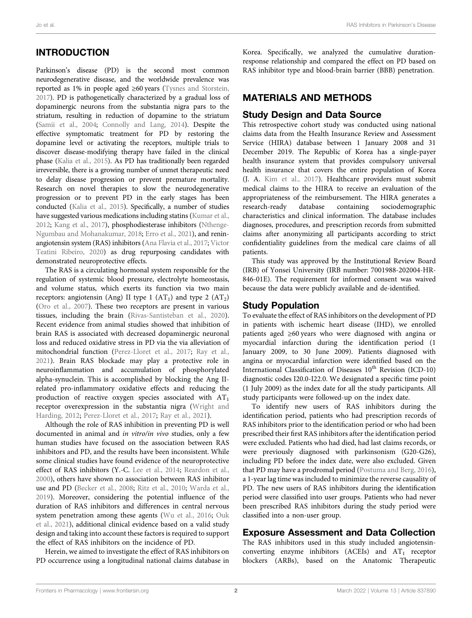## INTRODUCTION

Parkinson's disease (PD) is the second most common neurodegenerative disease, and the worldwide prevalence was reported as 1% in people aged ≥60 years [\(Tysnes and Storstein,](#page-10-0) [2017](#page-10-0)). PD is pathogenetically characterized by a gradual loss of dopaminergic neurons from the substantia nigra pars to the striatum, resulting in reduction of dopamine to the striatum ([Samii et al., 2004](#page-10-1); [Connolly and Lang, 2014\)](#page-9-0). Despite the effective symptomatic treatment for PD by restoring the dopamine level or activating the receptors, multiple trials to discover disease-modifying therapy have failed in the clinical phase ([Kalia et al., 2015\)](#page-9-1). As PD has traditionally been regarded irreversible, there is a growing number of unmet therapeutic need to delay disease progression or prevent premature mortality. Research on novel therapies to slow the neurodegenerative progression or to prevent PD in the early stages has been conducted ([Kalia et al., 2015\)](#page-9-1). Specifically, a number of studies have suggested various medications including statins [\(Kumar et al.,](#page-9-2) [2012](#page-9-2); [Kang et al., 2017](#page-9-3)), phosphodiesterase inhibitors [\(Nthenge-](#page-9-4)[Ngumbau and Mohanakumar, 2018;](#page-9-4) [Erro et al., 2021](#page-9-5)), and reninangiotensin system (RAS) inhibitors [\(Ana Flavia et al., 2017;](#page-9-6) [Victor](#page-10-2) [Teatini Ribeiro, 2020](#page-10-2)) as drug repurposing candidates with demonstrated neuroprotective effects.

The RAS is a circulating hormonal system responsible for the regulation of systemic blood pressure, electrolyte homeostasis, and volume status, which exerts its function via two main receptors: angiotensin (Ang) II type 1  $(AT<sub>1</sub>)$  and type 2  $(AT<sub>2</sub>)$ ([Oro et al., 2007](#page-10-3)). These two receptors are present in various tissues, including the brain ([Rivas-Santisteban et al., 2020\)](#page-10-4). Recent evidence from animal studies showed that inhibition of brain RAS is associated with decreased dopaminergic neuronal loss and reduced oxidative stress in PD via the via alleviation of mitochondrial function [\(Perez-Lloret et al., 2017;](#page-10-5) [Ray et al.,](#page-10-6) [2021](#page-10-6)). Brain RAS blockade may play a protective role in neuroinflammation and accumulation of phosphorylated alpha-synuclein. This is accomplished by blocking the Ang IIrelated pro-inflammatory oxidative effects and reducing the production of reactive oxygen species associated with  $AT<sub>1</sub>$ receptor overexpression in the substantia nigra ([Wright and](#page-10-7) [Harding, 2012](#page-10-7); [Perez-Lloret et al., 2017;](#page-10-5) [Ray et al., 2021](#page-10-6)).

Although the role of RAS inhibition in preventing PD is well documented in animal and in vitro/in vivo studies, only a few human studies have focused on the association between RAS inhibitors and PD, and the results have been inconsistent. While some clinical studies have found evidence of the neuroprotective effect of RAS inhibitors (Y.-C. [Lee et al., 2014;](#page-9-7) [Reardon et al.,](#page-10-8) [2000](#page-10-8)), others have shown no association between RAS inhibitor use and PD [\(Becker et al., 2008](#page-9-8); [Ritz et al., 2010;](#page-10-9) [Warda et al.,](#page-10-10) [2019](#page-10-10)). Moreover, considering the potential influence of the duration of RAS inhibitors and differences in central nervous system penetration among these agents ([Wu et al., 2016;](#page-10-11) [Ouk](#page-10-12) [et al., 2021](#page-10-12)), additional clinical evidence based on a valid study design and taking into account these factors is required to support the effect of RAS inhibitors on the incidence of PD.

Herein, we aimed to investigate the effect of RAS inhibitors on PD occurrence using a longitudinal national claims database in Korea. Specifically, we analyzed the cumulative durationresponse relationship and compared the effect on PD based on RAS inhibitor type and blood-brain barrier (BBB) penetration.

### MATERIALS AND METHODS

#### Study Design and Data Source

This retrospective cohort study was conducted using national claims data from the Health Insurance Review and Assessment Service (HIRA) database between 1 January 2008 and 31 December 2019. The Republic of Korea has a single-payer health insurance system that provides compulsory universal health insurance that covers the entire population of Korea (J. A. [Kim et al., 2017\)](#page-9-9). Healthcare providers must submit medical claims to the HIRA to receive an evaluation of the appropriateness of the reimbursement. The HIRA generates a research-ready database containing sociodemographic containing sociodemographic characteristics and clinical information. The database includes diagnoses, procedures, and prescription records from submitted claims after anonymizing all participants according to strict confidentiality guidelines from the medical care claims of all patients.

This study was approved by the Institutional Review Board (IRB) of Yonsei University (IRB number: 7001988-202004-HR-846-01E). The requirement for informed consent was waived because the data were publicly available and de-identified.

### Study Population

To evaluate the effect of RAS inhibitors on the development of PD in patients with ischemic heart disease (IHD), we enrolled patients aged ≥60 years who were diagnosed with angina or myocardial infarction during the identification period (1 January 2009, to 30 June 2009). Patients diagnosed with angina or myocardial infarction were identified based on the International Classification of Diseases 10<sup>th</sup> Revision (ICD-10) diagnostic codes I20.0-I22.0. We designated a specific time point (1 July 2009) as the index date for all the study participants. All study participants were followed-up on the index date.

To identify new users of RAS inhibitors during the identification period, patients who had prescription records of RAS inhibitors prior to the identification period or who had been prescribed their first RAS inhibitors after the identification period were excluded. Patients who had died, had last claims records, or were previously diagnosed with parkinsonism (G20-G26), including PD before the index date, were also excluded. Given that PD may have a prodromal period ([Postuma and Berg, 2016\)](#page-10-13), a 1-year lag time was included to minimize the reverse causality of PD. The new users of RAS inhibitors during the identification period were classified into user groups. Patients who had never been prescribed RAS inhibitors during the study period were classified into a non-user group.

### Exposure Assessment and Data Collection

The RAS inhibitors used in this study included angiotensinconverting enzyme inhibitors (ACEIs) and  $AT_1$  receptor blockers (ARBs), based on the Anatomic Therapeutic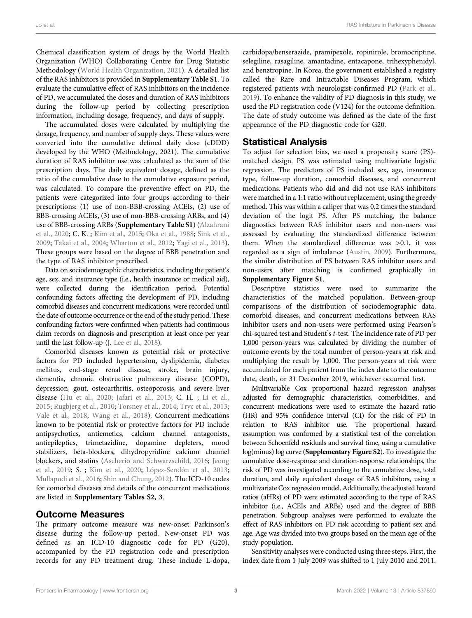Jo et al. RAS Inhibitors in Parkinson's Disease

Chemical classification system of drugs by the World Health Organization (WHO) Collaborating Centre for Drug Statistic Methodology [\(World Health Organization, 2021](#page-10-14)). A detailed list of the RAS inhibitors is provided in [Supplementary Table S1](#page-8-0). To evaluate the cumulative effect of RAS inhibitors on the incidence of PD, we accumulated the doses and duration of RAS inhibitors during the follow-up period by collecting prescription information, including dosage, frequency, and days of supply.

The accumulated doses were calculated by multiplying the dosage, frequency, and number of supply days. These values were converted into the cumulative defined daily dose (cDDD) developed by the WHO (Methodology, 2021). The cumulative duration of RAS inhibitor use was calculated as the sum of the prescription days. The daily equivalent dosage, defined as the ratio of the cumulative dose to the cumulative exposure period, was calculated. To compare the preventive effect on PD, the patients were categorized into four groups according to their prescriptions: (1) use of non-BBB-crossing ACEIs, (2) use of BBB-crossing ACEIs, (3) use of non-BBB-crossing ARBs, and (4) use of BBB-crossing ARBs ([Supplementary Table S1](#page-8-0)) ([Alzahrani](#page-9-10) [et al., 2020;](#page-9-10) C. K. ; [Kim et al., 2015;](#page-9-11) [Oka et al., 1988](#page-9-12); [Sink et al.,](#page-10-15) [2009](#page-10-15); [Takai et al., 2004;](#page-10-16) [Wharton et al., 2012;](#page-10-17) [Yagi et al., 2013\)](#page-10-18). These groups were based on the degree of BBB penetration and the type of RAS inhibitor prescribed.

Data on sociodemographic characteristics, including the patient's age, sex, and insurance type (i.e., health insurance or medical aid), were collected during the identification period. Potential confounding factors affecting the development of PD, including comorbid diseases and concurrent medications, were recorded until the date of outcome occurrence or the end of the study period. These confounding factors were confirmed when patients had continuous claim records on diagnosis and prescription at least once per year until the last follow-up (J. [Lee et al., 2018\)](#page-9-13).

Comorbid diseases known as potential risk or protective factors for PD included hypertension, dyslipidemia, diabetes mellitus, end-stage renal disease, stroke, brain injury, dementia, chronic obstructive pulmonary disease (COPD), depression, gout, osteoarthritis, osteoporosis, and severe liver disease [\(Hu et al., 2020](#page-9-14); [Jafari et al., 2013;](#page-9-15) C. H. ; [Li et al.,](#page-9-16) [2015](#page-9-16); [Rugbjerg et al., 2010;](#page-10-19) [Torsney et al., 2014](#page-10-20); [Tryc et al., 2013](#page-10-21); [Vale et al., 2018;](#page-10-22) [Wang et al., 2018](#page-10-23)). Concurrent medications known to be potential risk or protective factors for PD include antipsychotics, antiemetics, calcium channel antagonists, antiepileptics, trimetazidine, dopamine depleters, mood stabilizers, beta-blockers, dihydropyridine calcium channel blockers, and statins ([Ascherio and Schwarzschild, 2016](#page-9-17); [Jeong](#page-9-18) [et al., 2019;](#page-9-18) S. ; [Kim et al., 2020](#page-9-19); [López-Sendón et al., 2013](#page-9-20); [Mullapudi et al., 2016](#page-9-21); [Shin and Chung, 2012](#page-10-24)). The ICD-10 codes for comorbid diseases and details of the concurrent medications are listed in [Supplementary Tables S2, 3](#page-8-0).

#### Outcome Measures

The primary outcome measure was new-onset Parkinson's disease during the follow-up period. New-onset PD was defined as an ICD-10 diagnostic code for PD (G20), accompanied by the PD registration code and prescription records for any PD treatment drug. These include L-dopa, carbidopa/benserazide, pramipexole, ropinirole, bromocriptine, selegiline, rasagiline, amantadine, entacapone, trihexyphenidyl, and benztropine. In Korea, the government established a registry called the Rare and Intractable Diseases Program, which registered patients with neurologist-confirmed PD ([Park et al.,](#page-10-25) [2019](#page-10-25)). To enhance the validity of PD diagnosis in this study, we used the PD registration code (V124) for the outcome definition. The date of study outcome was defined as the date of the first appearance of the PD diagnostic code for G20.

### Statistical Analysis

To adjust for selection bias, we used a propensity score (PS) matched design. PS was estimated using multivariate logistic regression. The predictors of PS included sex, age, insurance type, follow-up duration, comorbid diseases, and concurrent medications. Patients who did and did not use RAS inhibitors were matched in a 1:1 ratio without replacement, using the greedy method. This was within a caliper that was 0.2 times the standard deviation of the logit PS. After PS matching, the balance diagnostics between RAS inhibitor users and non-users was assessed by evaluating the standardized difference between them. When the standardized difference was >0.1, it was regarded as a sign of imbalance [\(Austin, 2009\)](#page-9-22). Furthermore, the similar distribution of PS between RAS inhibitor users and non-users after matching is confirmed graphically in [Supplementary Figure S1](#page-8-0).

Descriptive statistics were used to summarize the characteristics of the matched population. Between-group comparisons of the distribution of sociodemographic data, comorbid diseases, and concurrent medications between RAS inhibitor users and non-users were performed using Pearson's chi-squared test and Student's t-test. The incidence rate of PD per 1,000 person-years was calculated by dividing the number of outcome events by the total number of person-years at risk and multiplying the result by 1,000. The person-years at risk were accumulated for each patient from the index date to the outcome date, death, or 31 December 2019, whichever occurred first.

Multivariable Cox proportional hazard regression analyses adjusted for demographic characteristics, comorbidities, and concurrent medications were used to estimate the hazard ratio (HR) and 95% confidence interval (CI) for the risk of PD in relation to RAS inhibitor use. The proportional hazard assumption was confirmed by a statistical test of the correlation between Schoenfeld residuals and survival time, using a cumulative log(minus) log curve ([Supplementary Figure S2](#page-8-0)). To investigate the cumulative dose-response and duration-response relationships, the risk of PD was investigated according to the cumulative dose, total duration, and daily equivalent dosage of RAS inhibitors, using a multivariate Cox regression model. Additionally, the adjusted hazard ratios (aHRs) of PD were estimated according to the type of RAS inhibitor (i.e., ACEIs and ARBs) used and the degree of BBB penetration. Subgroup analyses were performed to evaluate the effect of RAS inhibitors on PD risk according to patient sex and age. Age was divided into two groups based on the mean age of the study population.

Sensitivity analyses were conducted using three steps. First, the index date from 1 July 2009 was shifted to 1 July 2010 and 2011.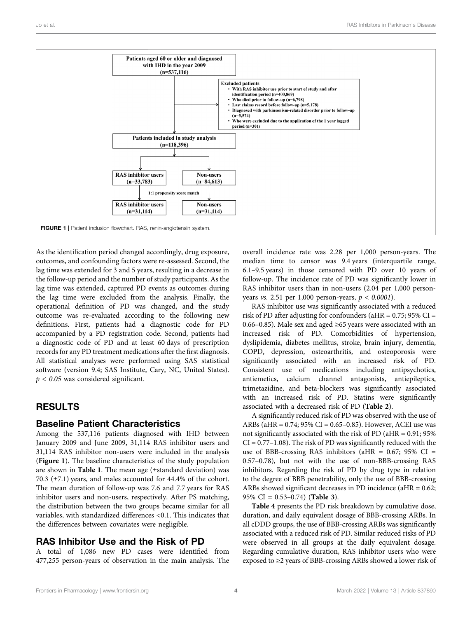

<span id="page-3-0"></span>As the identification period changed accordingly, drug exposure, outcomes, and confounding factors were re-assessed. Second, the lag time was extended for 3 and 5 years, resulting in a decrease in the follow-up period and the number of study participants. As the lag time was extended, captured PD events as outcomes during the lag time were excluded from the analysis. Finally, the operational definition of PD was changed, and the study outcome was re-evaluated according to the following new definitions. First, patients had a diagnostic code for PD accompanied by a PD registration code. Second, patients had a diagnostic code of PD and at least 60 days of prescription records for any PD treatment medications after the first diagnosis. All statistical analyses were performed using SAS statistical software (version 9.4; SAS Institute, Cary, NC, United States).  $p < 0.05$  was considered significant.

# RESULTS

### Baseline Patient Characteristics

Among the 537,116 patients diagnosed with IHD between January 2009 and June 2009, 31,114 RAS inhibitor users and 31,114 RAS inhibitor non-users were included in the analysis ([Figure 1](#page-3-0)). The baseline characteristics of the study population are shown in [Table 1](#page-4-0). The mean age (±standard deviation) was 70.3 (±7.1) years, and males accounted for 44.4% of the cohort. The mean duration of follow-up was 7.6 and 7.7 years for RAS inhibitor users and non-users, respectively. After PS matching, the distribution between the two groups became similar for all variables, with standardized differences <0.1. This indicates that the differences between covariates were negligible.

### RAS Inhibitor Use and the Risk of PD

A total of 1,086 new PD cases were identified from 477,255 person-years of observation in the main analysis. The overall incidence rate was 2.28 per 1,000 person-years. The median time to censor was 9.4 years (interquartile range, 6.1–9.5 years) in those censored with PD over 10 years of follow-up. The incidence rate of PD was significantly lower in RAS inhibitor users than in non-users (2.04 per 1,000 personyears vs. 2.51 per 1,000 person-years,  $p < 0.0001$ ).

RAS inhibitor use was significantly associated with a reduced risk of PD after adjusting for confounders (aHR =  $0.75$ ; 95% CI = 0.66–0.85). Male sex and aged ≥65 years were associated with an increased risk of PD. Comorbidities of hypertension, dyslipidemia, diabetes mellitus, stroke, brain injury, dementia, COPD, depression, osteoarthritis, and osteoporosis were significantly associated with an increased risk of PD. Consistent use of medications including antipsychotics, antiemetics, calcium channel antagonists, antiepileptics, trimetazidine, and beta-blockers was significantly associated with an increased risk of PD. Statins were significantly associated with a decreased risk of PD ([Table 2](#page-5-0)).

A significantly reduced risk of PD was observed with the use of ARBs (aHR =  $0.74$ ;  $95\%$  CI =  $0.65-0.85$ ). However, ACEI use was not significantly associated with the risk of PD (aHR = 0.91; 95%  $CI = 0.77 - 1.08$ ). The risk of PD was significantly reduced with the use of BBB-crossing RAS inhibitors (aHR = 0.67; 95% CI = 0.57–0.78), but not with the use of non-BBB-crossing RAS inhibitors. Regarding the risk of PD by drug type in relation to the degree of BBB penetrability, only the use of BBB-crossing ARBs showed significant decreases in PD incidence (aHR = 0.62; 95% CI = 0.53–0.74) ([Table 3](#page-5-1)).

[Table 4](#page-6-0) presents the PD risk breakdown by cumulative dose, duration, and daily equivalent dosage of BBB-crossing ARBs. In all cDDD groups, the use of BBB-crossing ARBs was significantly associated with a reduced risk of PD. Similar reduced risks of PD were observed in all groups at the daily equivalent dosage. Regarding cumulative duration, RAS inhibitor users who were exposed to ≥2 years of BBB-crossing ARBs showed a lower risk of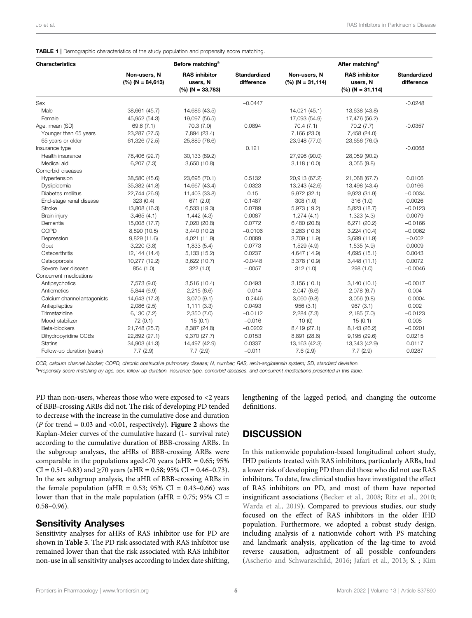<span id="page-4-0"></span>TABLE 1 | Demographic characteristics of the study population and propensity score matching.

| <b>Characteristics</b>      |                                    | Before matching <sup>a</sup>                           |                                   | After matching <sup>a</sup>        |                                                        |                                   |  |
|-----------------------------|------------------------------------|--------------------------------------------------------|-----------------------------------|------------------------------------|--------------------------------------------------------|-----------------------------------|--|
|                             | Non-users, N<br>$(%) (N = 84,613)$ | <b>RAS</b> inhibitor<br>users, N<br>$(%) (N = 33,783)$ | <b>Standardized</b><br>difference | Non-users, N<br>$(\%)(N = 31,114)$ | <b>RAS</b> inhibitor<br>users, N<br>$(%) (N = 31.114)$ | <b>Standardized</b><br>difference |  |
| Sex                         |                                    |                                                        | $-0.0447$                         |                                    |                                                        | $-0.0248$                         |  |
| Male                        | 38,661 (45.7)                      | 14,686 (43.5)                                          |                                   | 14,021 (45.1)                      | 13,638 (43.8)                                          |                                   |  |
| Female                      | 45,952 (54.3)                      | 19,097 (56.5)                                          |                                   | 17,093 (54.9)                      | 17,476 (56.2)                                          |                                   |  |
| Age, mean (SD)              | 69.6 (7.1)                         | 70.3 (7.0)                                             | 0.0894                            | 70.4(7.1)                          | 70.2(7.7)                                              | $-0.0357$                         |  |
| Younger than 65 years       | 23,287 (27.5)                      | 7,894 (23.4)                                           |                                   | 7,166 (23.0)                       | 7,458 (24.0)                                           |                                   |  |
| 65 years or older           | 61,326 (72.5)                      | 25,889 (76.6)                                          |                                   | 23,948 (77.0)                      | 23,656 (76.0)                                          |                                   |  |
| Insurance type              |                                    |                                                        | 0.121                             |                                    |                                                        | $-0.0068$                         |  |
| Health insurance            | 78,406 (92.7)                      | 30,133 (89.2)                                          |                                   | 27,996 (90.0)                      | 28,059 (90.2)                                          |                                   |  |
| Medical aid                 | 6,207(7.3)                         | 3,650 (10.8)                                           |                                   | 3,118(10.0)                        | 3,055(9.8)                                             |                                   |  |
| Comorbid diseases           |                                    |                                                        |                                   |                                    |                                                        |                                   |  |
| Hypertension                | 38,580 (45.6)                      | 23,695 (70.1)                                          | 0.5132                            | 20,913 (67.2)                      | 21,068 (67.7)                                          | 0.0106                            |  |
| Dyslipidemia                | 35,382 (41.8)                      | 14,667 (43.4)                                          | 0.0323                            | 13,243 (42.6)                      | 13,498 (43.4)                                          | 0.0166                            |  |
| Diabetes mellitus           | 22,744 (26.9)                      | 11,403 (33.8)                                          | 0.15                              | 9,972 (32.1)                       | 9,923 (31.9)                                           | $-0.0034$                         |  |
| End-stage renal disease     | 323 (0.4)                          | 671 (2.0)                                              | 0.1487                            | 308(1.0)                           | 316(1.0)                                               | 0.0026                            |  |
| <b>Stroke</b>               | 13,808 (16.3)                      | 6,533 (19.3)                                           | 0.0789                            | 5,973 (19.2)                       | 5,823 (18.7)                                           | $-0.0123$                         |  |
| Brain injury                | 3,465(4.1)                         | 1,442 (4.3)                                            | 0.0087                            | 1,274(4.1)                         | 1,323 (4.3)                                            | 0.0079                            |  |
| Dementia                    | 15,008 (17.7)                      | 7,020 (20.8)                                           | 0.0772                            | 6,480 (20.8)                       | 6,271 (20.2)                                           | $-0.0166$                         |  |
| COPD                        | 8,890 (10.5)                       | 3,440 (10.2)                                           | $-0.0106$                         | 3,283(10.6)                        | 3,224 (10.4)                                           | $-0.0062$                         |  |
| Depression                  | 9,829 (11.6)                       | 4,021 (11.9)                                           | 0.0089                            | 3,709 (11.9)                       | 3,689 (11.9)                                           | $-0.002$                          |  |
| Gout                        | 3,220(3.8)                         | 1,833(5.4)                                             | 0.0773                            | 1,529 (4.9)                        | 1,535 (4.9)                                            | 0.0009                            |  |
| Osteoarthritis              | 12,144 (14.4)                      | 5,133 (15.2)                                           | 0.0237                            | 4,647 (14.9)                       | 4,695 (15.1)                                           | 0.0043                            |  |
| Osteoporosis                | 10,277 (12.2)                      | 3,622 (10.7)                                           | $-0.0448$                         | 3,378 (10.9)                       | 3,448(11.1)                                            | 0.0072                            |  |
| Severe liver disease        | 854 (1.0)                          | 322 (1.0)                                              | $-.0057$                          | 312(1.0)                           | 298 (1.0)                                              | $-0.0046$                         |  |
| Concurrent medications      |                                    |                                                        |                                   |                                    |                                                        |                                   |  |
| Antipsychotics              | 7,573 (9.0)                        | 3,516 (10.4)                                           | 0.0493                            | 3,156(10.1)                        | 3,140(10.1)                                            | $-0.0017$                         |  |
| Antiemetics                 | 5,844 (6.9)                        | 2,215(6.6)                                             | $-0.014$                          | 2,047(6.6)                         | 2.078(6.7)                                             | 0.004                             |  |
| Calcium channel antagonists | 14,643 (17.3)                      | 3,070(9.1)                                             | $-0.2446$                         | 3,060 (9.8)                        | 3,056 (9.8)                                            | $-0.0004$                         |  |
| Antiepileptics              | 2,086 (2.5)                        | 1,111(3.3)                                             | 0.0493                            | 956(3.1)                           | 967(3.1)                                               | 0.002                             |  |
| Trimetazidine               | 6,130(7.2)                         | 2,350(7.0)                                             | $-0.0112$                         | 2,284 (7.3)                        | 2,185(7.0)                                             | $-0.0123$                         |  |
| Mood stabilizer             | 72 (0.1)                           | 15(0.1)                                                | $-0.016$                          | 10(0)                              | 15(0.1)                                                | 0.008                             |  |
| Beta-blockers               | 21,748 (25.7)                      | 8,387 (24.8)                                           | $-0.0202$                         | 8,419 (27.1)                       | 8,143 (26.2)                                           | $-0.0201$                         |  |
| Dihydropyridine CCBs        | 22,892 (27.1)                      | 9,370 (27.7)                                           | 0.0153                            | 8,891 (28.6)                       | 9,195(29.6)                                            | 0.0215                            |  |
| <b>Statins</b>              | 34,903 (41.3)                      | 14,497 (42.9)                                          | 0.0337                            | 13,163 (42.3)                      | 13,343 (42.9)                                          | 0.0117                            |  |
| Follow-up duration (years)  | 7.7(2.9)                           | 7.7(2.9)                                               | $-0.011$                          | 7.6(2.9)                           | 7.7(2.9)                                               | 0.0287                            |  |

CCB, calcium channel blocker; COPD, chronic obstructive pulmonary disease; N, number; RAS, renin-angiotensin system; SD, standard deviation. a<br>Propensity score matching by age, sex, follow-up duration, insurance type, comorbid diseases, and concurrent medications presented in this table.

PD than non-users, whereas those who were exposed to <2 years of BBB-crossing ARBs did not. The risk of developing PD tended to decrease with the increase in the cumulative dose and duration (*P* for trend = 0.03 and <0.01, respectively). [Figure 2](#page-6-1) shows the Kaplan-Meier curves of the cumulative hazard (1- survival rate) according to the cumulative duration of BBB-crossing ARBs. In the subgroup analyses, the aHRs of BBB-crossing ARBs were comparable in the populations aged < 70 years (aHR =  $0.65$ ; 95%  $CI = 0.51 - 0.83$ ) and  $\geq 70$  years (aHR = 0.58; 95% CI = 0.46-0.73). In the sex subgroup analysis, the aHR of BBB-crossing ARBs in the female population (aHR =  $0.53$ ;  $95\%$  CI =  $0.43-0.66$ ) was lower than that in the male population ( $aHR = 0.75$ ; 95% CI = 0.58–0.96).

# Sensitivity Analyses

Sensitivity analyses for aHRs of RAS inhibitor use for PD are shown in [Table 5](#page-7-0). The PD risk associated with RAS inhibitor use remained lower than that the risk associated with RAS inhibitor non-use in all sensitivity analyses according to index date shifting,

lengthening of the lagged period, and changing the outcome definitions.

# **DISCUSSION**

In this nationwide population-based longitudinal cohort study, IHD patients treated with RAS inhibitors, particularly ARBs, had a lower risk of developing PD than did those who did not use RAS inhibitors. To date, few clinical studies have investigated the effect of RAS inhibitors on PD, and most of them have reported insignificant associations [\(Becker et al., 2008](#page-9-8); [Ritz et al., 2010;](#page-10-9) [Warda et al., 2019](#page-10-10)). Compared to previous studies, our study focused on the effect of RAS inhibitors in the older IHD population. Furthermore, we adopted a robust study design, including analysis of a nationwide cohort with PS matching and landmark analysis, application of the lag-time to avoid reverse causation, adjustment of all possible confounders [\(Ascherio and Schwarzschild, 2016](#page-9-17); [Jafari et al., 2013;](#page-9-15) S. ; [Kim](#page-9-19)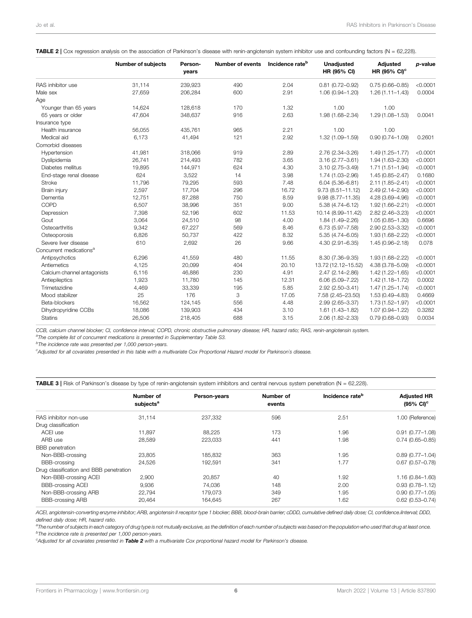|                                     | <b>Number of subjects</b> | Person-<br>years | <b>Number of events</b> | Incidence rate <sup>b</sup> | Unadjusted<br>HR (95% CI) | <b>Adjusted</b><br>HR (95% CI) <sup>c</sup> | p-value  |
|-------------------------------------|---------------------------|------------------|-------------------------|-----------------------------|---------------------------|---------------------------------------------|----------|
| RAS inhibitor use                   | 31,114                    | 239,923          | 490                     | 2.04                        | $0.81(0.72 - 0.92)$       | $0.75(0.66 - 0.85)$                         | < 0.0001 |
| Male sex                            | 27,659                    | 206,284          | 600                     | 2.91                        | 1.06 (0.94-1.20)          | $1.26(1.11 - 1.43)$                         | 0.0004   |
| Age                                 |                           |                  |                         |                             |                           |                                             |          |
| Younger than 65 years               | 14,624                    | 128,618          | 170                     | 1.32                        | 1.00                      | 1.00                                        |          |
| 65 years or older                   | 47,604                    | 348,637          | 916                     | 2.63                        | 1.98 (1.68-2.34)          | $1.29(1.08 - 1.53)$                         | 0.0041   |
| Insurance type                      |                           |                  |                         |                             |                           |                                             |          |
| Health insurance                    | 56,055                    | 435,761          | 965                     | 2.21                        | 1.00                      | 1.00                                        |          |
| Medical aid                         | 6,173                     | 41,494           | 121                     | 2.92                        | 1.32 (1.09-1.59)          | $0.90(0.74 - 1.09)$                         | 0.2601   |
| Comorbid diseases                   |                           |                  |                         |                             |                           |                                             |          |
| Hypertension                        | 41,981                    | 318,066          | 919                     | 2.89                        | 2.76 (2.34-3.26)          | $1.49(1.25 - 1.77)$                         | < 0.0001 |
| Dyslipidemia                        | 26,741                    | 214,493          | 782                     | 3.65                        | $3.16(2.77 - 3.61)$       | 1.94 (1.63-2.30)                            | < 0.0001 |
| Diabetes mellitus                   | 19,895                    | 144,971          | 624                     | 4.30                        | $3.10(2.75 - 3.49)$       | $1.71(1.51 - 1.94)$                         | < 0.0001 |
| End-stage renal disease             | 624                       | 3,522            | 14                      | 3.98                        | 1.74 (1.03-2.96)          | $1.45(0.85 - 2.47)$                         | 0.1680   |
| Stroke                              | 11,796                    | 79,295           | 593                     | 7.48                        | $6.04(5.36 - 6.81)$       | $2.11(1.85 - 2.41)$                         | < 0.0001 |
| Brain injury                        | 2,597                     | 17,704           | 296                     | 16.72                       | $9.73(8.51 - 11.12)$      | 2.49 (2.14-2.90)                            | < 0.0001 |
| Dementia                            | 12,751                    | 87,288           | 750                     | 8.59                        | 9.98 (8.77-11.35)         | 4.28 (3.69-4.96)                            | < 0.0001 |
| COPD                                | 6,507                     | 38,996           | 351                     | 9.00                        | $5.38(4.74 - 6.12)$       | 1.92 (1.66-2.21)                            | < 0.0001 |
| Depression                          | 7,398                     | 52,196           | 602                     | 11.53                       | 10.14 (8.99-11.42)        | $2.82(2.46 - 3.23)$                         | < 0.0001 |
| Gout                                | 3,064                     | 24,510           | 98                      | 4.00                        | 1.84 (1.49-2.26)          | $1.05(0.85 - 1.30)$                         | 0.6696   |
| Osteoarthritis                      | 9,342                     | 67,227           | 569                     | 8.46                        | 6.73 (5.97-7.58)          | 2.90 (2.53-3.32)                            | < 0.0001 |
| Osteoporosis                        | 6,826                     | 50,737           | 422                     | 8.32                        | $5.35(4.74 - 6.05)$       | 1.93 (1.68-2.22)                            | < 0.0001 |
| Severe liver disease                | 610                       | 2,692            | 26                      | 9.66                        | 4.30 (2.91-6.35)          | 1.45 (0.96-2.18)                            | 0.078    |
| Concurrent medications <sup>a</sup> |                           |                  |                         |                             |                           |                                             |          |
| Antipsychotics                      | 6,296                     | 41,559           | 480                     | 11.55                       | 8.30 (7.36-9.35)          | 1.93 (1.68-2.22)                            | < 0.0001 |
| Antiemetics                         | 4,125                     | 20,099           | 404                     | 20.10                       | 13.72 (12.12-15.52)       | 4.38 (3.78-5.09)                            | < 0.0001 |
| Calcium channel antagonists         | 6,116                     | 46,886           | 230                     | 4.91                        | $2.47(2.14 - 2.86)$       | $1.42(1.22 - 1.65)$                         | < 0.0001 |
| Antiepileptics                      | 1,923                     | 11,780           | 145                     | 12.31                       | $6.06(5.09 - 7.22)$       | 1.42 (1.18-1.72)                            | 0.0002   |
| Trimetazidine                       | 4,469                     | 33,339           | 195                     | 5.85                        | 2.92 (2.50-3.41)          | $1.47(1.25 - 1.74)$                         | < 0.0001 |
| Mood stabilizer                     | 25                        | 176              | 3                       | 17.05                       | 7.58 (2.45-23.50)         | 1.53 (0.49-4.83)                            | 0.4669   |
| Beta-blockers                       | 16,562                    | 124,145          | 556                     | 4.48                        | 2.99 (2.65-3.37)          | 1.73 (1.52-1.97)                            | < 0.0001 |
| Dihydropyridine CCBs                | 18,086                    | 139,903          | 434                     | 3.10                        | $1.61(1.43 - 1.82)$       | 1.07 (0.94-1.22)                            | 0.3282   |
| <b>Statins</b>                      | 26,506                    | 218,405          | 688                     | 3.15                        | 2.06 (1.82-2.33)          | $0.79(0.68 - 0.93)$                         | 0.0034   |

<span id="page-5-0"></span>TABLE 2 | Cox regression analysis on the association of Parkinson's disease with renin-angiotensin system inhibitor use and confounding factors (N = 62,228).

CCB, calcium channel blocker; CI, confidence interval; COPD, chronic obstructive pulmonary disease; HR, hazard ratio; RAS, renin-angiotensin system.

<sup>a</sup>The complete list of concurrent medications is presented in Supplementary Table S3.

<sup>b</sup>The incidence rate was presented per 1,000 person-years.

c Adjusted for all covariates presentied in this table with a multivariate Cox Proportional Hazard model for Parkinson`s disease.

<span id="page-5-1"></span>**TABLE 3** | Risk of Parkinson's disease by type of renin-angiotensin system inhibitors and central nervous system penetration (N = 62,228).

|                                         | Number of<br>subjects <sup>a</sup> | Person-years | Number of<br>events | Incidence rate <sup>b</sup> | <b>Adjusted HR</b><br>$(95\% \text{ Cl})^c$ |
|-----------------------------------------|------------------------------------|--------------|---------------------|-----------------------------|---------------------------------------------|
| RAS inhibitor non-use                   | 31.114                             | 237,332      | 596                 | 2.51                        | 1.00 (Reference)                            |
| Drug classification                     |                                    |              |                     |                             |                                             |
| ACEI use                                | 11.897                             | 88.225       | 173                 | 1.96                        | $0.91(0.77 - 1.08)$                         |
| ARB use                                 | 28,589                             | 223,033      | 441                 | 1.98                        | $0.74(0.65 - 0.85)$                         |
| <b>BBB</b> penetration                  |                                    |              |                     |                             |                                             |
| Non-BBB-crossing                        | 23,805                             | 185.832      | 363                 | 1.95                        | $0.89(0.77 - 1.04)$                         |
| <b>BBB-crossing</b>                     | 24,526                             | 192,591      | 341                 | 1.77                        | $0.67$ (0.57-0.78)                          |
| Drug classification and BBB penetration |                                    |              |                     |                             |                                             |
| Non-BBB-crossing ACEI                   | 2,900                              | 20.857       | 40                  | 1.92                        | $1.16(0.84 - 1.60)$                         |
| <b>BBB-crossing ACEI</b>                | 9,936                              | 74,036       | 148                 | 2.00                        | $0.93(0.78 - 1.12)$                         |
| Non-BBB-crossing ARB                    | 22,794                             | 179.073      | 349                 | 1.95                        | $0.90(0.77 - 1.05)$                         |
| <b>BBB-crossing ARB</b>                 | 20,464                             | 164.645      | 267                 | 1.62                        | $0.62$ (0.53-0.74)                          |

ACEI, angiotensin-converting enzyme inhibitor; ARB, angiotensin II receptor type 1 blocker; BBB, blood-brain barrier; cDDD, cumulative defined daily dose; CI, confidence.iInterval; DDD, defined daily dose; HR, hazard ratio.

<sup>a</sup>The number of subjects in each category of drug type is not mutually exclusive, as the definition of each number of subjects was based on the population who used that drug at least once. <sup>b</sup>The incidence rate is presented per 1,000 person-years.

<sup>c</sup>Adjusted for all covariates presented in [Table 2](#page-5-0) with a multivariate Cox proportional hazard model for Parkinson's disease.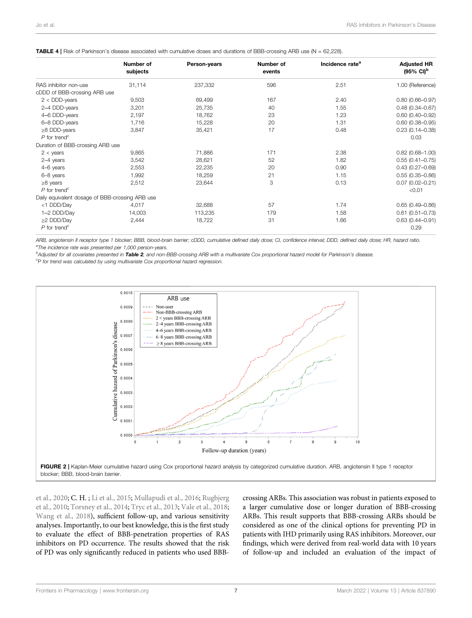|                                                 | Number of | Person-years | Number of | Incidence rate <sup>a</sup> | <b>Adjusted HR</b>             |
|-------------------------------------------------|-----------|--------------|-----------|-----------------------------|--------------------------------|
|                                                 | subjects  |              | events    |                             | $(95\% \text{ Cl})^{\text{b}}$ |
| RAS inhibitor non-use                           | 31,114    | 237,332      | 596       | 2.51                        | 1.00 (Reference)               |
| cDDD of BBB-crossing ARB use                    |           |              |           |                             |                                |
| $2 <$ DDD-years                                 | 9,503     | 69,499       | 167       | 2.40                        | $0.80(0.66 - 0.97)$            |
| 2-4 DDD-years                                   | 3,201     | 25,735       | 40        | 1.55                        | $0.48(0.34 - 0.67)$            |
| 4-6 DDD-years                                   | 2,197     | 18,762       | 23        | 1.23                        | $0.60$ (0.40-0.92)             |
| 6-8 DDD-years                                   | 1,716     | 15,228       | 20        | 1.31                        | $0.60$ (0.38-0.95)             |
| $\geq$ 8 DDD-years                              | 3,847     | 35,421       | 17        | 0.48                        | $0.23(0.14 - 0.38)$            |
| $P$ for trend <sup>c</sup>                      |           |              |           |                             | 0.03                           |
| Duration of BBB-crossing ARB use                |           |              |           |                             |                                |
| $2 < \gamma$ ears                               | 9,865     | 71,886       | 171       | 2.38                        | $0.82$ (0.68-1.00)             |
| 2-4 years                                       | 3,542     | 28,621       | 52        | 1.82                        | $0.55(0.41 - 0.75)$            |
| 4-6 years                                       | 2,553     | 22,235       | 20        | 0.90                        | $0.43(0.27 - 0.69)$            |
| 6-8 years                                       | 1,992     | 18,259       | 21        | 1.15                        | $0.55(0.35 - 0.86)$            |
| $\geq$ 8 years                                  | 2,512     | 23,644       | 3         | 0.13                        | $0.07(0.02 - 0.21)$            |
| $P$ for trend <sup>c</sup>                      |           |              |           |                             | < 0.01                         |
| Daily equivalent dosage of BBB-crossing ARB use |           |              |           |                             |                                |
| <1 DDD/Day                                      | 4,017     | 32,688       | 57        | 1.74                        | $0.65(0.49 - 0.86)$            |
| 1-2 DDD/Day                                     | 14,003    | 113,235      | 179       | 1.58                        | $0.61$ (0.51-0.73)             |
| ≥2 DDD/Day                                      | 2,444     | 18,722       | 31        | 1.66                        | $0.63(0.44 - 0.91)$            |
| $P$ for trend <sup>c</sup>                      |           |              |           |                             | 0.29                           |

#### <span id="page-6-0"></span>TABLE 4 | Risk of Parkinson's disease associated with cumulative doses and durations of BBB-crossing ARB use (N = 62,228).

ARB, angiotensin II receptor type 1 blocker; BBB, blood-brain barrier; cDDD, cumulative defined daily dose; CI, confidence interval; DDD, defined daily dose; HR, hazard ratio. <sup>a</sup>The incidence rate was presented per 1,000 person-years.

bAdjusted for all covariates presented in **[Table 2](#page-5-0)**, and non-BBB-crossing ARB with a multivariate Cox proportional hazard model for Parkinson's disease.

<sup>c</sup>P for trend was calculated by using multivariate Cox proportional hazard regression.



<span id="page-6-1"></span>[et al., 2020](#page-9-19); C. H. ; [Li et al., 2015](#page-9-16); [Mullapudi et al., 2016;](#page-9-21) [Rugbjerg](#page-10-19) [et al., 2010;](#page-10-19) [Torsney et al., 2014](#page-10-20); [Tryc et al., 2013](#page-10-21); [Vale et al., 2018](#page-10-22); [Wang et al., 2018](#page-10-23)), sufficient follow-up, and various sensitivity analyses. Importantly, to our best knowledge, this is the first study to evaluate the effect of BBB-penetration properties of RAS inhibitors on PD occurrence. The results showed that the risk of PD was only significantly reduced in patients who used BBB- crossing ARBs. This association was robust in patients exposed to a larger cumulative dose or longer duration of BBB-crossing ARBs. This result supports that BBB-crossing ARBs should be considered as one of the clinical options for preventing PD in patients with IHD primarily using RAS inhibitors. Moreover, our findings, which were derived from real-world data with 10 years of follow-up and included an evaluation of the impact of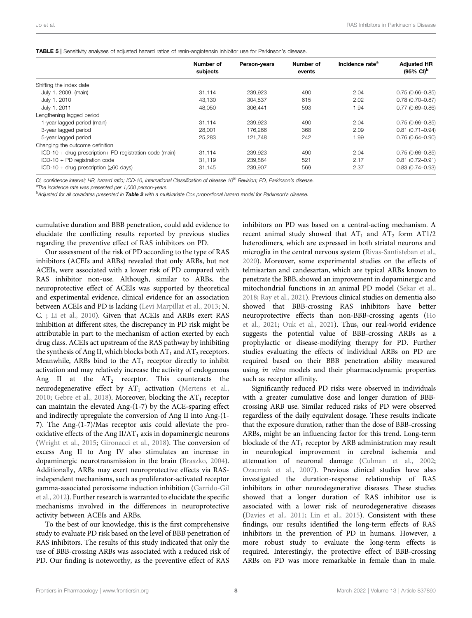<span id="page-7-0"></span>

|  | TABLE 5   Sensitivity analyses of adjusted hazard ratios of renin-angiotensin inhibitor use for Parkinson's disease. |
|--|----------------------------------------------------------------------------------------------------------------------|
|--|----------------------------------------------------------------------------------------------------------------------|

|                                                         | Number of<br>subjects | Person-years | Number of<br>events | Incidence rate <sup>a</sup> | <b>Adjusted HR</b><br>$(95\% \text{ Cl})^{\text{b}}$ |
|---------------------------------------------------------|-----------------------|--------------|---------------------|-----------------------------|------------------------------------------------------|
| Shifting the index date                                 |                       |              |                     |                             |                                                      |
| July 1. 2009. (main)                                    | 31.114                | 239.923      | 490                 | 2.04                        | $0.75(0.66 - 0.85)$                                  |
| July 1. 2010                                            | 43.130                | 304.837      | 615                 | 2.02                        | $0.78(0.70 - 0.87)$                                  |
| July 1. 2011                                            | 48.050                | 306.441      | 593                 | 1.94                        | $0.77(0.69 - 0.86)$                                  |
| Lengthening lagged period                               |                       |              |                     |                             |                                                      |
| 1-year lagged period (main)                             | 31.114                | 239.923      | 490                 | 2.04                        | $0.75(0.66 - 0.85)$                                  |
| 3-year lagged period                                    | 28.001                | 176.266      | 368                 | 2.09                        | $0.81(0.71 - 0.94)$                                  |
| 5-year lagged period                                    | 25,283                | 121.748      | 242                 | 1.99                        | $0.76(0.64 - 0.90)$                                  |
| Changing the outcome definition                         |                       |              |                     |                             |                                                      |
| ICD-10 + drug prescription+ PD registration code (main) | 31,114                | 239,923      | 490                 | 2.04                        | $0.75(0.66 - 0.85)$                                  |
| $ICD-10 + PD$ registration code                         | 31.119                | 239.864      | 521                 | 2.17                        | $0.81(0.72 - 0.91)$                                  |
| ICD-10 + drug prescription ( $\geq 60$ days)            | 31,145                | 239,907      | 569                 | 2.37                        | $0.83(0.74 - 0.93)$                                  |
|                                                         |                       |              |                     |                             |                                                      |

CI, confidence interval; HR, hazard ratio; ICD-10, International Classification of disease.  $10^{th}$  Revision; PD, Parkinson's disease.

<sup>a</sup>The incidence rate was presented per 1,000 person-years.

<sup>b</sup>Adjusted for all covariates presented in **[Table 2](#page-5-0)** with a multivariate Cox proportional hazard model for Parkinson's disease.

cumulative duration and BBB penetration, could add evidence to elucidate the conflicting results reported by previous studies regarding the preventive effect of RAS inhibitors on PD.

Our assessment of the risk of PD according to the type of RAS inhibitors (ACEIs and ARBs) revealed that only ARBs, but not ACEIs, were associated with a lower risk of PD compared with RAS inhibitor non-use. Although, similar to ARBs, the neuroprotective effect of ACEIs was supported by theoretical and experimental evidence, clinical evidence for an association between ACEIs and PD is lacking ([Levi Marpillat et al., 2013](#page-9-23); N. C. ; [Li et al., 2010](#page-9-24)). Given that ACEIs and ARBs exert RAS inhibition at different sites, the discrepancy in PD risk might be attributable in part to the mechanism of action exerted by each drug class. ACEIs act upstream of the RAS pathway by inhibiting the synthesis of Ang II, which blocks both  $AT_1$  and  $AT_2$  receptors. Meanwhile, ARBs bind to the  $AT_1$  receptor directly to inhibit activation and may relatively increase the activity of endogenous Ang II at the  $AT_2$  receptor. This counteracts the neurodegenerative effect by  $AT_1$  activation ([Mertens et al.,](#page-9-25) [2010](#page-9-25); [Gebre et al., 2018](#page-9-26)). Moreover, blocking the  $AT_1$  receptor can maintain the elevated Ang-(1-7) by the ACE-sparing effect and indirectly upregulate the conversion of Ang II into Ang-(1- 7). The Ang-(1-7)/Mas receptor axis could alleviate the prooxidative effects of the Ang  $II/AT_1$  axis in dopaminergic neurons ([Wright et al., 2015;](#page-10-26) [Gironacci et al., 2018\)](#page-9-27). The conversion of excess Ang II to Ang IV also stimulates an increase in dopaminergic neurotransmission in the brain ([Braszko, 2004\)](#page-9-28). Additionally, ARBs may exert neuroprotective effects via RASindependent mechanisms, such as proliferator-activated receptor gamma-associated peroxisome induction inhibition [\(Garrido-Gil](#page-9-29) [et al., 2012\)](#page-9-29). Further research is warranted to elucidate the specific mechanisms involved in the differences in neuroprotective activity between ACEIs and ARBs.

To the best of our knowledge, this is the first comprehensive study to evaluate PD risk based on the level of BBB penetration of RAS inhibitors. The results of this study indicated that only the use of BBB-crossing ARBs was associated with a reduced risk of PD. Our finding is noteworthy, as the preventive effect of RAS inhibitors on PD was based on a central-acting mechanism. A recent animal study showed that  $AT_1$  and  $AT_2$  form  $AT1/2$ heterodimers, which are expressed in both striatal neurons and microglia in the central nervous system ([Rivas-Santisteban et al.,](#page-10-4) [2020](#page-10-4)). Moreover, some experimental studies on the effects of telmisartan and candesartan, which are typical ARBs known to penetrate the BBB, showed an improvement in dopaminergic and mitochondrial functions in an animal PD model [\(Sekar et al.,](#page-10-27) [2018](#page-10-27); [Ray et al., 2021\)](#page-10-6). Previous clinical studies on dementia also showed that BBB-crossing RAS inhibitors have better neuroprotective effects than non-BBB-crossing agents ([Ho](#page-9-30) [et al., 2021](#page-9-30); [Ouk et al., 2021](#page-10-12)). Thus, our real-world evidence suggests the potential value of BBB-crossing ARBs as a prophylactic or disease-modifying therapy for PD. Further studies evaluating the effects of individual ARBs on PD are required based on their BBB penetration ability measured using in vitro models and their pharmacodynamic properties such as receptor affinity.

Significantly reduced PD risks were observed in individuals with a greater cumulative dose and longer duration of BBBcrossing ARB use. Similar reduced risks of PD were observed regardless of the daily equivalent dosage. These results indicate that the exposure duration, rather than the dose of BBB-crossing ARBs, might be an influencing factor for this trend. Long-term blockade of the  $AT_1$  receptor by ARB administration may result in neurological improvement in cerebral ischemia and attenuation of neuronal damage ([Culman et al., 2002;](#page-9-31) [Ozacmak et al., 2007\)](#page-10-28). Previous clinical studies have also investigated the duration-response relationship of RAS inhibitors in other neurodegenerative diseases. These studies showed that a longer duration of RAS inhibitor use is associated with a lower risk of neurodegenerative diseases [\(Davies et al., 2011;](#page-9-32) [Lin et al., 2015\)](#page-9-33). Consistent with these findings, our results identified the long-term effects of RAS inhibitors in the prevention of PD in humans. However, a more robust study to evaluate the long-term effects is required. Interestingly, the protective effect of BBB-crossing ARBs on PD was more remarkable in female than in male.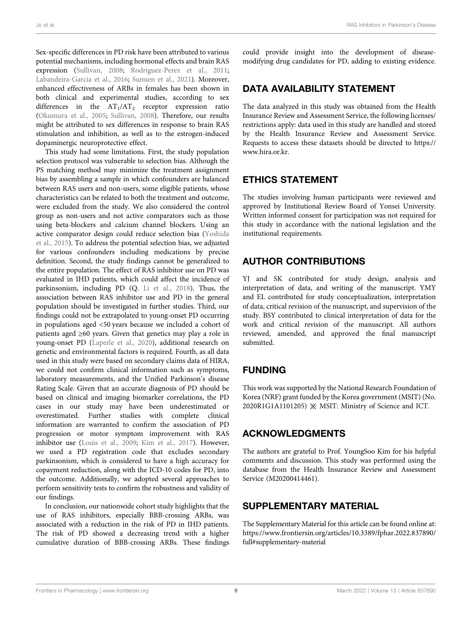Sex-specific differences in PD risk have been attributed to various potential mechanisms, including hormonal effects and brain RAS expression ([Sullivan, 2008;](#page-10-29) [Rodriguez-Perez et al., 2011](#page-10-30); [Labandeira-Garcia et al., 2016](#page-9-34); [Sumien et al., 2021](#page-10-31)). Moreover, enhanced effectiveness of ARBs in females has been shown in both clinical and experimental studies, according to sex differences in the  $AT_1/AT_2$  receptor expression ratio ([Okumura et al., 2005;](#page-9-35) [Sullivan, 2008](#page-10-29)). Therefore, our results might be attributed to sex differences in response to brain RAS stimulation and inhibition, as well as to the estrogen-induced dopaminergic neuroprotective effect.

This study had some limitations. First, the study population selection protocol was vulnerable to selection bias. Although the PS matching method may minimize the treatment assignment bias by assembling a sample in which confounders are balanced between RAS users and non-users, some eligible patients, whose characteristics can be related to both the treatment and outcome, were excluded from the study. We also considered the control group as non-users and not active comparators such as those using beta-blockers and calcium channel blockers. Using an active comparator design could reduce selection bias [\(Yoshida](#page-10-32) [et al., 2015](#page-10-32)). To address the potential selection bias, we adjusted for various confounders including medications by precise definition. Second, the study findings cannot be generalized to the entire population. The effect of RAS inhibitor use on PD was evaluated in IHD patients, which could affect the incidence of parkinsonism, including PD (Q. [Li et al., 2018\)](#page-9-36). Thus, the association between RAS inhibitor use and PD in the general population should be investigated in further studies. Third, our findings could not be extrapolated to young-onset PD occurring in populations aged <50 years because we included a cohort of patients aged ≥60 years. Given that genetics may play a role in young-onset PD [\(Laperle et al., 2020\)](#page-9-37), additional research on genetic and environmental factors is required. Fourth, as all data used in this study were based on secondary claims data of HIRA, we could not confirm clinical information such as symptoms, laboratory measurements, and the Unified Parkinson's disease Rating Scale. Given that an accurate diagnosis of PD should be based on clinical and imaging biomarker correlations, the PD cases in our study may have been underestimated or overestimated. Further studies with complete clinical information are warranted to confirm the association of PD progression or motor symptom improvement with RAS inhibitor use ([Louis et al., 2009](#page-9-38); [Kim et al., 2017](#page-9-9)). However, we used a PD registration code that excludes secondary parkinsonism, which is considered to have a high accuracy for copayment reduction, along with the ICD-10 codes for PD, into the outcome. Additionally, we adopted several approaches to perform sensitivity tests to confirm the robustness and validity of our findings.

In conclusion, our nationwide cohort study highlights that the use of RAS inhibitors, especially BBB-crossing ARBs, was associated with a reduction in the risk of PD in IHD patients. The risk of PD showed a decreasing trend with a higher cumulative duration of BBB-crossing ARBs. These findings

could provide insight into the development of diseasemodifying drug candidates for PD, adding to existing evidence.

### DATA AVAILABILITY STATEMENT

The data analyzed in this study was obtained from the Health Insurance Review and Assessment Service, the following licenses/ restrictions apply: data used in this study are handled and stored by the Health Insurance Review and Assessment Service. Requests to access these datasets should be directed to [https://](https://www.hira.or.kr) [www.hira.or.kr.](https://www.hira.or.kr)

# ETHICS STATEMENT

The studies involving human participants were reviewed and approved by Institutional Review Board of Yonsei University. Written informed consent for participation was not required for this study in accordance with the national legislation and the institutional requirements.

# AUTHOR CONTRIBUTIONS

YJ and SK contributed for study design, analysis and interpretation of data, and writing of the manuscript. YMY and EL contributed for study conceptualization, interpretation of data, critical revision of the manuscript, and supervision of the study. BSY contributed to clinical interpretation of data for the work and critical revision of the manuscript. All authors reviewed, amended, and approved the final manuscript submitted.

# FUNDING

This work was supported by the National Research Foundation of Korea (NRF) grant funded by the Korea government (MSIT) (No. 2020R1G1A1101205) ※ MSIT: Ministry of Science and ICT.

# ACKNOWLEDGMENTS

The authors are grateful to Prof. YoungSoo Kim for his helpful comments and discussion. This study was performed using the database from the Health Insurance Review and Assessment Service (M20200414461).

# <span id="page-8-0"></span>SUPPLEMENTARY MATERIAL

The Supplementary Material for this article can be found online at: [https://www.frontiersin.org/articles/10.3389/fphar.2022.837890/](https://www.frontiersin.org/articles/10.3389/fphar.2022.837890/full#supplementary-material) [full#supplementary-material](https://www.frontiersin.org/articles/10.3389/fphar.2022.837890/full#supplementary-material)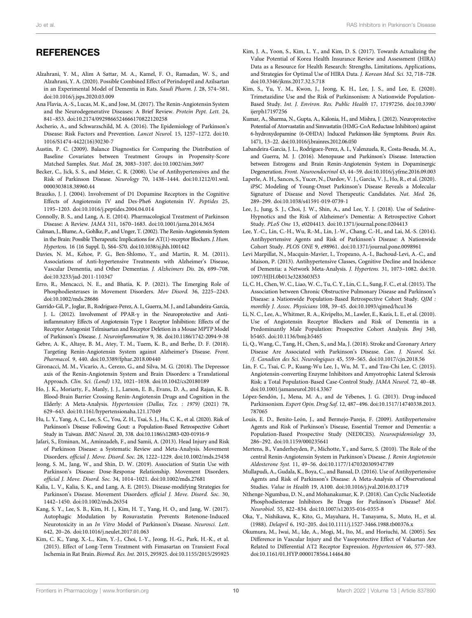# **REFERENCES**

- <span id="page-9-10"></span>Alzahrani, Y. M., Alim A Sattar, M. A., Kamel, F. O., Ramadan, W. S., and Alzahrani, Y. A. (2020). Possible Combined Effect of Perindopril and Azilsartan in an Experimental Model of Dementia in Rats. Saudi Pharm. J. 28, 574–581. doi:[10.1016/j.jsps.2020.03.009](https://doi.org/10.1016/j.jsps.2020.03.009)
- <span id="page-9-6"></span>Ana Flavia, A.-S., Lucas, M. K., and Jose, M. (2017). The Renin-Angiotensin System and the Neurodegenerative Diseases: A Brief Review. Protein Pept. Lett. 24, 841–853. doi:[10.2174/0929866524666170822120258](https://doi.org/10.2174/0929866524666170822120258)
- <span id="page-9-17"></span>Ascherio, A., and Schwarzschild, M. A. (2016). The Epidemiology of Parkinson's Disease: Risk Factors and Prevention. Lancet Neurol. 15, 1257–1272. doi[:10.](https://doi.org/10.1016/S1474-4422(16)30230-7) [1016/S1474-4422\(16\)30230-7](https://doi.org/10.1016/S1474-4422(16)30230-7)
- <span id="page-9-22"></span>Austin, P. C. (2009). Balance Diagnostics for Comparing the Distribution of Baseline Covariates between Treatment Groups in Propensity-Score Matched Samples. Stat. Med. 28, 3083–3107. doi[:10.1002/sim.3697](https://doi.org/10.1002/sim.3697)
- <span id="page-9-8"></span>Becker, C., Jick, S. S., and Meier, C. R. (2008). Use of Antihypertensives and the Risk of Parkinson Disease. Neurology 70, 1438–1444. doi[:10.1212/01.wnl.](https://doi.org/10.1212/01.wnl.0000303818.38960.44) [0000303818.38960.44](https://doi.org/10.1212/01.wnl.0000303818.38960.44)
- <span id="page-9-28"></span>Braszko, J. J. (2004). Involvement of D1 Dopamine Receptors in the Cognitive Effects of Angiotensin IV and Des-Phe6 Angiotensin IV. Peptides 25, 1195–1203. doi[:10.1016/j.peptides.2004.04.014](https://doi.org/10.1016/j.peptides.2004.04.014)
- <span id="page-9-0"></span>Connolly, B. S., and Lang, A. E. (2014). Pharmacological Treatment of Parkinson Disease: A Review. JAMA 311, 1670–1683. doi:[10.1001/jama.2014.3654](https://doi.org/10.1001/jama.2014.3654)
- <span id="page-9-31"></span>Culman, J., Blume, A., Gohlke, P., and Unger, T. (2002). The Renin-Angiotensin System in the Brain: Possible Therapeutic Implications for AT(1)-receptor Blockers. J. Hum. Hypertens. 16 (16 Suppl. l), S64–S70. doi[:10.1038/sj.jhh.1001442](https://doi.org/10.1038/sj.jhh.1001442)
- <span id="page-9-32"></span>Davies, N. M., Kehoe, P. G., Ben-Shlomo, Y., and Martin, R. M. (2011). Associations of Anti-hypertensive Treatments with Alzheimer's Disease, Vascular Dementia, and Other Dementias. J. Alzheimers Dis. 26, 699–708. doi:[10.3233/jad-2011-110347](https://doi.org/10.3233/jad-2011-110347)
- <span id="page-9-5"></span>Erro, R., Mencacci, N. E., and Bhatia, K. P. (2021). The Emerging Role of Phosphodiesterases in Movement Disorders. Mov Disord. 36, 2225–2243. doi:[10.1002/mds.28686](https://doi.org/10.1002/mds.28686)
- <span id="page-9-29"></span>Garrido-Gil, P., Joglar, B., Rodriguez-Perez, A. I., Guerra, M. J., and Labandeira-Garcia, J. L. (2012). Involvement of PPAR-γ in the Neuroprotective and Antiinflammatory Effects of Angiotensin Type 1 Receptor Inhibition: Effects of the Receptor Antagonist Telmisartan and Receptor Deletion in a Mouse MPTP Model of Parkinson's Disease. J. Neuroinflammation 9, 38. doi:[10.1186/1742-2094-9-38](https://doi.org/10.1186/1742-2094-9-38)
- <span id="page-9-26"></span>Gebre, A. K., Altaye, B. M., Atey, T. M., Tuem, K. B., and Berhe, D. F. (2018). Targeting Renin-Angiotensin System against Alzheimer's Disease. Front. Pharmacol. 9, 440. doi[:10.3389/fphar.2018.00440](https://doi.org/10.3389/fphar.2018.00440)
- <span id="page-9-27"></span>Gironacci, M. M., Vicario, A., Cerezo, G., and Silva, M. G. (2018). The Depressor axis of the Renin-Angiotensin System and Brain Disorders: a Translational Approach. Clin. Sci. (Lond) 132, 1021–1038. doi:[10.1042/cs20180189](https://doi.org/10.1042/cs20180189)
- <span id="page-9-30"></span>Ho, J. K., Moriarty, F., Manly, J. J., Larson, E. B., Evans, D. A., and Rajan, K. B. Blood-Brain Barrier Crossing Renin-Angiotensin Drugs and Cognition in the Elderly: A Meta-Analysis. Hypertension (Dallas, Tex. : 1979) (2021) 78, 629–643. doi:[10.1161/hypertensionaha.121.17049](https://doi.org/10.1161/hypertensionaha.121.17049)
- <span id="page-9-14"></span>Hu, L. Y., Yang, A. C., Lee, S. C., You, Z. H., Tsai, S. J., Hu, C. K., et al. (2020). Risk of Parkinson's Disease Following Gout: a Population-Based Retrospective Cohort Study in Taiwan. BMC Neurol. 20, 338. doi[:10.1186/s12883-020-01916-9](https://doi.org/10.1186/s12883-020-01916-9)
- <span id="page-9-15"></span>Jafari, S., Etminan, M., Aminzadeh, F., and Samii, A. (2013). Head Injury and Risk of Parkinson Disease: a Systematic Review and Meta-Analysis. Movement Disorders. official J. Move. Disord. Soc. 28, 1222–1229. doi[:10.1002/mds.25458](https://doi.org/10.1002/mds.25458)
- <span id="page-9-18"></span>Jeong, S. M., Jang, W., and Shin, D. W. (2019). Association of Statin Use with Parkinson's Disease: Dose-Response Relationship. Movement Disorders. official J. Move. Disord. Soc. 34, 1014–1021. doi:[10.1002/mds.27681](https://doi.org/10.1002/mds.27681)
- <span id="page-9-1"></span>Kalia, L. V., Kalia, S. K., and Lang, A. E. (2015). Disease-modifying Strategies for Parkinson's Disease. Movement Disorders. official J. Move. Disord. Soc. 30, 1442–1450. doi[:10.1002/mds.26354](https://doi.org/10.1002/mds.26354)
- <span id="page-9-3"></span>Kang, S. Y., Lee, S. B., Kim, H. J., Kim, H. T., Yang, H. O., and Jang, W. (2017). Autophagic Modulation by Rosuvastatin Prevents Rotenone-Induced Neurotoxicity in an In Vitro Model of Parkinson's Disease. Neurosci. Lett. 642, 20–26. doi:[10.1016/j.neulet.2017.01.063](https://doi.org/10.1016/j.neulet.2017.01.063)
- <span id="page-9-11"></span>Kim, C. K., Yang, X.-L., Kim, Y.-J., Choi, I.-Y., Jeong, H.-G., Park, H.-K., et al. (2015). Effect of Long-Term Treatment with Fimasartan on Transient Focal Ischemia in Rat Brain. Biomed. Res. Int. 2015, 295925. doi[:10.1155/2015/295925](https://doi.org/10.1155/2015/295925)
- <span id="page-9-9"></span>Kim, J. A., Yoon, S., Kim, L. Y., and Kim, D. S. (2017). Towards Actualizing the Value Potential of Korea Health Insurance Review and Assessment (HIRA) Data as a Resource for Health Research: Strengths, Limitations, Applications, and Strategies for Optimal Use of HIRA Data. J. Korean Med. Sci. 32, 718–728. doi[:10.3346/jkms.2017.32.5.718](https://doi.org/10.3346/jkms.2017.32.5.718)
- <span id="page-9-19"></span>Kim, S., Yu, Y. M., Kwon, J., Jeong, K. H., Lee, J. S., and Lee, E. (2020). Trimetazidine Use and the Risk of Parkinsonism: A Nationwide Population-Based Study. Int. J. Environ. Res. Public Health 17, 17197256. doi[:10.3390/](https://doi.org/10.3390/ijerph17197256) [ijerph17197256](https://doi.org/10.3390/ijerph17197256)
- <span id="page-9-2"></span>Kumar, A., Sharma, N., Gupta, A., Kalonia, H., and Mishra, J. (2012). Neuroprotective Potential of Atorvastatin and Simvastatin (HMG-CoA Reductase Inhibitors) against 6-hydroxydopamine (6-OHDA) Induced Parkinson-like Symptoms. Brain Res. 1471, 13–22. doi[:10.1016/j.brainres.2012.06.050](https://doi.org/10.1016/j.brainres.2012.06.050)
- <span id="page-9-34"></span>Labandeira-Garcia, J. L., Rodriguez-Perez, A. I., Valenzuela, R., Costa-Besada, M. A., and Guerra, M. J. (2016). Menopause and Parkinson's Disease. Interaction between Estrogens and Brain Renin-Angiotensin System in Dopaminergic Degeneration. Front. Neuroendocrinol 43, 44–59. doi:[10.1016/j.yfrne.2016.09.003](https://doi.org/10.1016/j.yfrne.2016.09.003)
- <span id="page-9-37"></span>Laperle, A. H., Sances, S., Yucer, N., Dardov, V. J., Garcia, V. J., Ho, R., et al. (2020). iPSC Modeling of Young-Onset Parkinson's Disease Reveals a Molecular Signature of Disease and Novel Therapeutic Candidates. Nat. Med. 26, 289–299. doi:[10.1038/s41591-019-0739-1](https://doi.org/10.1038/s41591-019-0739-1)
- <span id="page-9-13"></span>Lee, J., Jung, S. J., Choi, J. W., Shin, A., and Lee, Y. J. (2018). Use of Sedative-Hypnotics and the Risk of Alzheimer's Dementia: A Retrospective Cohort Study. PLoS One 13, e0204413. doi[:10.1371/journal.pone.0204413](https://doi.org/10.1371/journal.pone.0204413)
- <span id="page-9-7"></span>Lee, Y.-C., Lin, C.-H., Wu, R.-M., Lin, J.-W., Chang, C.-H., and Lai, M.-S. (2014). Antihypertensive Agents and Risk of Parkinson's Disease: A Nationwide Cohort Study. PLOS ONE 9, e98961. doi[:10.1371/journal.pone.0098961](https://doi.org/10.1371/journal.pone.0098961)
- <span id="page-9-23"></span>Levi Marpillat, N., Macquin-Mavier, I., Tropeano, A.-I., Bachoud-Levi, A.-C., and Maison, P. (2013). Antihypertensive Classes, Cognitive Decline and Incidence of Dementia: a Network Meta-Analysis. J. Hypertens. 31, 1073–1082. doi[:10.](https://doi.org/10.1097/HJH.0b013e3283603f53) [1097/HJH.0b013e3283603f53](https://doi.org/10.1097/HJH.0b013e3283603f53)
- <span id="page-9-16"></span>Li, C. H., Chen, W. C., Liao, W. C., Tu, C. Y., Lin, C. L., Sung, F. C., et al. (2015). The Association between Chronic Obstructive Pulmonary Disease and Parkinson's Disease: a Nationwide Population-Based Retrospective Cohort Study. QJM : monthly J. Assoc. Physicians 108, 39–45. doi:[10.1093/qjmed/hcu136](https://doi.org/10.1093/qjmed/hcu136)
- <span id="page-9-24"></span>Li, N. C., Lee, A., Whitmer, R. A., Kivipelto, M., Lawler, E., Kazis, L. E., et al. (2010). Use of Angiotensin Receptor Blockers and Risk of Dementia in a Predominantly Male Population: Prospective Cohort Analysis. Bmj 340, b5465. doi:[10.1136/bmj.b5465](https://doi.org/10.1136/bmj.b5465)
- <span id="page-9-36"></span>Li, Q., Wang, C., Tang, H., Chen, S., and Ma, J. (2018). Stroke and Coronary Artery Disease Are Associated with Parkinson's Disease. Can. J. Neurol. Sci. /J. Canadien des Sci. Neurologiques 45, 559–565. doi:[10.1017/cjn.2018.56](https://doi.org/10.1017/cjn.2018.56)
- <span id="page-9-33"></span>Lin, F. C., Tsai, C. P., Kuang-Wu Lee, J., Wu, M. T., and Tzu-Chi Lee, C. (2015). Angiotensin-converting Enzyme Inhibitors and Amyotrophic Lateral Sclerosis Risk: a Total Population-Based Case-Control Study. JAMA Neurol. 72, 40–48. doi[:10.1001/jamaneurol.2014.3367](https://doi.org/10.1001/jamaneurol.2014.3367)
- <span id="page-9-20"></span>López-Sendón, J., Mena, M. A., and de Yébenes, J. G. (2013). Drug-induced Parkinsonism. Expert Opin. Drug Saf. 12, 487–496. doi[:10.1517/14740338.2013.](https://doi.org/10.1517/14740338.2013.787065) [787065](https://doi.org/10.1517/14740338.2013.787065)
- <span id="page-9-38"></span>Louis, E. D., Benito-León, J., and Bermejo-Pareja, F. (2009). Antihypertensive Agents and Risk of Parkinson's Disease, Essential Tremor and Dementia: a Population-Based Prospective Study (NEDICES). Neuroepidemiology 33, 286–292. doi:[10.1159/000235641](https://doi.org/10.1159/000235641)
- <span id="page-9-25"></span>Mertens, B., Vanderheyden, P., Michotte, Y., and Sarre, S. (2010). The Role of the central Renin-Angiotensin System in Parkinson's Disease. J. Renin Angiotensin Aldosterone Syst. 11, 49–56. doi:[10.1177/1470320309347789](https://doi.org/10.1177/1470320309347789)
- <span id="page-9-21"></span>Mullapudi, A., Gudala, K., Boya, C., and Bansal, D. (2016). Use of Antihypertensive Agents and Risk of Parkinson's Disease: A Meta-Analysis of Observational Studies. Value in Health 19, A100. doi:[10.1016/j.jval.2016.03.1719](https://doi.org/10.1016/j.jval.2016.03.1719)
- <span id="page-9-4"></span>Nthenge-Ngumbau, D. N., and Mohanakumar, K. P. (2018). Can Cyclic Nucleotide Phosphodiesterase Inhibitors Be Drugs for Parkinson's Disease? Mol. Neurobiol. 55, 822–834. doi:[10.1007/s12035-016-0355-8](https://doi.org/10.1007/s12035-016-0355-8)
- <span id="page-9-12"></span>Oka, Y., Nishikawa, K., Kito, G., Mayahara, H., Tanayama, S., Muto, H., et al. (1988). Delapril 6, 192–205. doi[:10.1111/j.1527-3466.1988.tb00376.x](https://doi.org/10.1111/j.1527-3466.1988.tb00376.x)
- <span id="page-9-35"></span>Okumura, M., Iwai, M., Ide, A., Mogi, M., Ito, M., and Horiuchi, M. (2005). Sex Difference in Vascular Injury and the Vasoprotective Effect of Valsartan Are Related to Differential AT2 Receptor Expression. Hypertension 46, 577–583. doi[:10.1161/01.HYP.0000178564.14464.80](https://doi.org/10.1161/01.HYP.0000178564.14464.80)